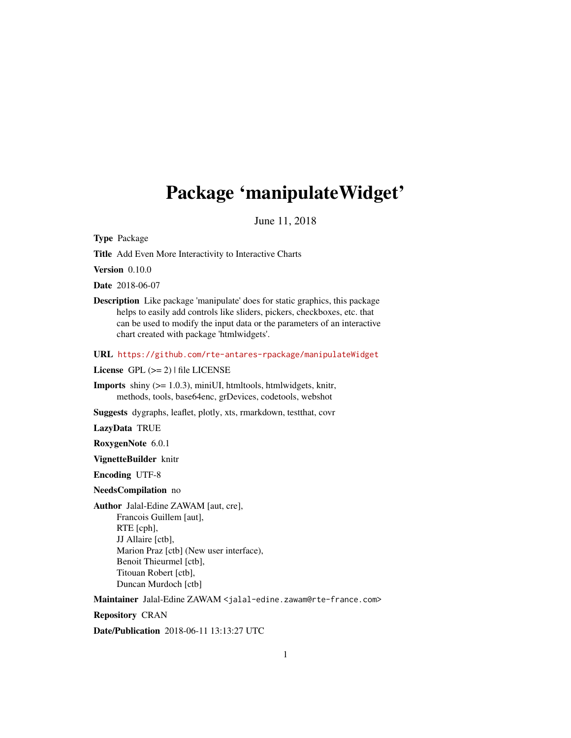# <span id="page-0-0"></span>Package 'manipulateWidget'

June 11, 2018

Type Package

Title Add Even More Interactivity to Interactive Charts

Version 0.10.0

Date 2018-06-07

Description Like package 'manipulate' does for static graphics, this package helps to easily add controls like sliders, pickers, checkboxes, etc. that can be used to modify the input data or the parameters of an interactive chart created with package 'htmlwidgets'.

URL <https://github.com/rte-antares-rpackage/manipulateWidget>

License GPL  $(>= 2)$  | file LICENSE

**Imports** shiny  $(>= 1.0.3)$ , miniUI, htmltools, htmlwidgets, knitr, methods, tools, base64enc, grDevices, codetools, webshot

Suggests dygraphs, leaflet, plotly, xts, rmarkdown, testthat, covr

LazyData TRUE

RoxygenNote 6.0.1

VignetteBuilder knitr

Encoding UTF-8

NeedsCompilation no

Author Jalal-Edine ZAWAM [aut, cre], Francois Guillem [aut], RTE [cph], JJ Allaire [ctb], Marion Praz [ctb] (New user interface), Benoit Thieurmel [ctb], Titouan Robert [ctb], Duncan Murdoch [ctb]

Maintainer Jalal-Edine ZAWAM <jalal-edine.zawam@rte-france.com>

Repository CRAN

Date/Publication 2018-06-11 13:13:27 UTC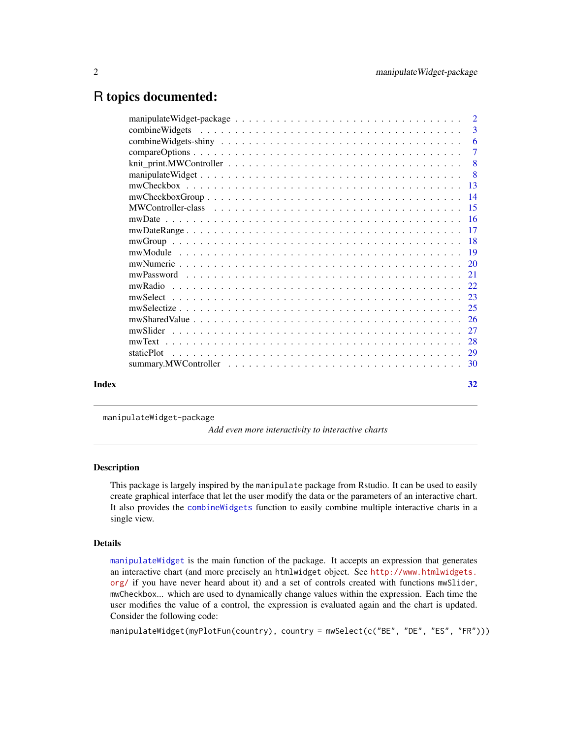# <span id="page-1-0"></span>R topics documented:

|  |  | 3              |
|--|--|----------------|
|  |  | -6             |
|  |  | $\overline{7}$ |
|  |  |                |
|  |  |                |
|  |  |                |
|  |  |                |
|  |  |                |
|  |  |                |
|  |  |                |
|  |  |                |
|  |  |                |
|  |  |                |
|  |  |                |
|  |  |                |
|  |  |                |
|  |  |                |
|  |  |                |
|  |  |                |
|  |  |                |
|  |  |                |
|  |  |                |
|  |  |                |
|  |  | 32             |
|  |  |                |
|  |  |                |

manipulateWidget-package

*Add even more interactivity to interactive charts*

## Description

This package is largely inspired by the manipulate package from Rstudio. It can be used to easily create graphical interface that let the user modify the data or the parameters of an interactive chart. It also provides the [combineWidgets](#page-2-1) function to easily combine multiple interactive charts in a single view.

#### Details

[manipulateWidget](#page-7-1) is the main function of the package. It accepts an expression that generates an interactive chart (and more precisely an htmlwidget object. See [http://www.htmlwidgets.](http://www.htmlwidgets.org/) [org/](http://www.htmlwidgets.org/) if you have never heard about it) and a set of controls created with functions mwSlider, mwCheckbox... which are used to dynamically change values within the expression. Each time the user modifies the value of a control, the expression is evaluated again and the chart is updated. Consider the following code:

manipulateWidget(myPlotFun(country), country = mwSelect(c("BE", "DE", "ES", "FR")))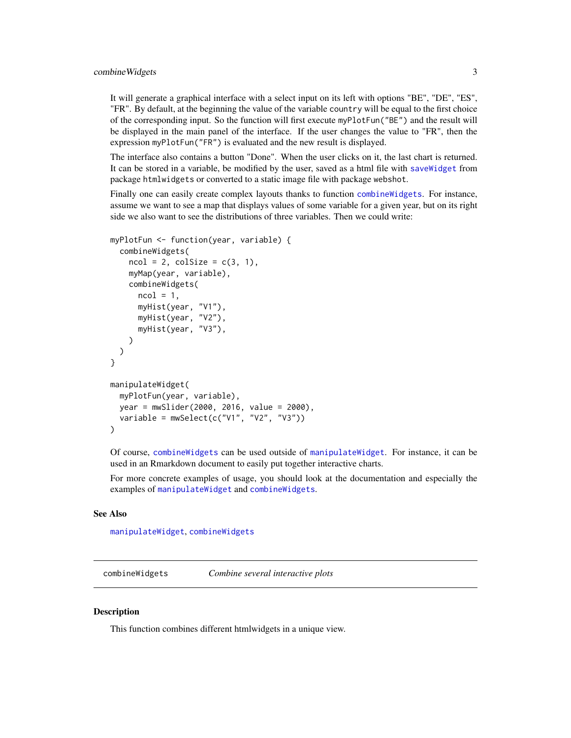<span id="page-2-0"></span>It will generate a graphical interface with a select input on its left with options "BE", "DE", "ES", "FR". By default, at the beginning the value of the variable country will be equal to the first choice of the corresponding input. So the function will first execute myPlotFun("BE") and the result will be displayed in the main panel of the interface. If the user changes the value to "FR", then the expression myPlotFun("FR") is evaluated and the new result is displayed.

The interface also contains a button "Done". When the user clicks on it, the last chart is returned. It can be stored in a variable, be modified by the user, saved as a html file with [saveWidget](#page-0-0) from package htmlwidgets or converted to a static image file with package webshot.

Finally one can easily create complex layouts thanks to function [combineWidgets](#page-2-1). For instance, assume we want to see a map that displays values of some variable for a given year, but on its right side we also want to see the distributions of three variables. Then we could write:

```
myPlotFun <- function(year, variable) {
  combineWidgets(
    ncol = 2, colSize = c(3, 1),
    myMap(year, variable),
    combineWidgets(
      ncol = 1,
      myHist(year, "V1"),
      myHist(year, "V2"),
      myHist(year, "V3"),
    )
 )
}
manipulateWidget(
  myPlotFun(year, variable),
 year = mwSlider(2000, 2016, value = 2000),
  variable = mwSelect(c("V1", "V2", "V3"))
\mathcal{L}
```
Of course, [combineWidgets](#page-2-1) can be used outside of [manipulateWidget](#page-7-1). For instance, it can be used in an Rmarkdown document to easily put together interactive charts.

For more concrete examples of usage, you should look at the documentation and especially the examples of [manipulateWidget](#page-7-1) and [combineWidgets](#page-2-1).

#### See Also

[manipulateWidget](#page-7-1), [combineWidgets](#page-2-1)

<span id="page-2-1"></span>combineWidgets *Combine several interactive plots*

#### Description

This function combines different htmlwidgets in a unique view.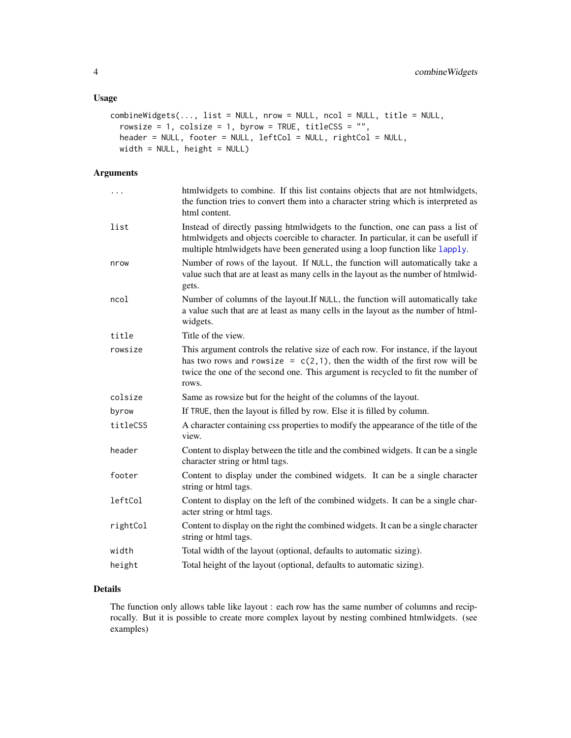## <span id="page-3-0"></span>Usage

```
combineWidgets(..., list = NULL, nrow = NULL, ncol = NULL, title = NULL,
  rowsize = 1, colsize = 1, byrow = TRUE, titleCSS = ",
 header = NULL, footer = NULL, leftCol = NULL, rightCol = NULL,
 width = NULL, height = NULL)
```
## Arguments

| htmlwidgets to combine. If this list contains objects that are not htmlwidgets,<br>the function tries to convert them into a character string which is interpreted as<br>html content.                                                                         |
|----------------------------------------------------------------------------------------------------------------------------------------------------------------------------------------------------------------------------------------------------------------|
| Instead of directly passing htmlwidgets to the function, one can pass a list of<br>htmlwidgets and objects coercible to character. In particular, it can be usefull if<br>multiple htmlwidgets have been generated using a loop function like lapply.          |
| Number of rows of the layout. If NULL, the function will automatically take a<br>value such that are at least as many cells in the layout as the number of htmlwid-<br>gets.                                                                                   |
| Number of columns of the layout.If NULL, the function will automatically take<br>a value such that are at least as many cells in the layout as the number of html-<br>widgets.                                                                                 |
| Title of the view.                                                                                                                                                                                                                                             |
| This argument controls the relative size of each row. For instance, if the layout<br>has two rows and rowsize = $c(2,1)$ , then the width of the first row will be<br>twice the one of the second one. This argument is recycled to fit the number of<br>rows. |
| Same as rowsize but for the height of the columns of the layout.                                                                                                                                                                                               |
| If TRUE, then the layout is filled by row. Else it is filled by column.                                                                                                                                                                                        |
| A character containing css properties to modify the appearance of the title of the<br>view.                                                                                                                                                                    |
| Content to display between the title and the combined widgets. It can be a single<br>character string or html tags.                                                                                                                                            |
| Content to display under the combined widgets. It can be a single character<br>string or html tags.                                                                                                                                                            |
| Content to display on the left of the combined widgets. It can be a single char-<br>acter string or html tags.                                                                                                                                                 |
| Content to display on the right the combined widgets. It can be a single character<br>string or html tags.                                                                                                                                                     |
| Total width of the layout (optional, defaults to automatic sizing).                                                                                                                                                                                            |
| Total height of the layout (optional, defaults to automatic sizing).                                                                                                                                                                                           |
|                                                                                                                                                                                                                                                                |

## Details

The function only allows table like layout : each row has the same number of columns and reciprocally. But it is possible to create more complex layout by nesting combined htmlwidgets. (see examples)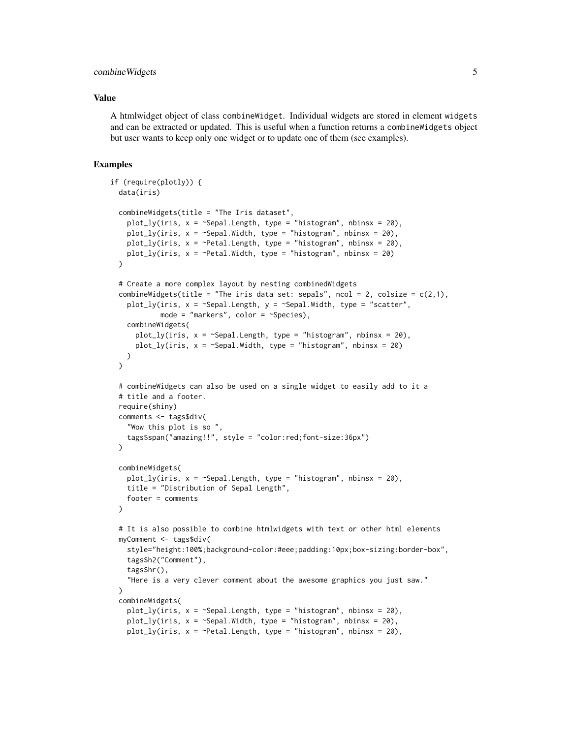## combine Widgets 5

#### Value

A htmlwidget object of class combineWidget. Individual widgets are stored in element widgets and can be extracted or updated. This is useful when a function returns a combineWidgets object but user wants to keep only one widget or to update one of them (see examples).

```
if (require(plotly)) {
 data(iris)
 combineWidgets(title = "The Iris dataset",
    plot_ly(iris, x = ~Sepal.Length, type = "histogram", nbinsx = 20),
    plot_ly(iris, x = \text{``Sepal.Width}, type = \text{``histogram''}, noinsx = 20),plot_ly(iris, x = \gammaPetal.Length, type = "histogram", nbinsx = 20),
    plot_ly(iris, x = \text{}'Petal.Width, type = "histogram", nbinsx = 20)\lambda# Create a more complex layout by nesting combinedWidgets
 combineWidgets(title = "The iris data set: sepals", ncol = 2, colsize = c(2,1),
    plot_ly(iris, x = \text{Sepal.Length}, y = \text{Sepal.Width}, type = "scatter",
            mode = "markers", color = "Species),
    combineWidgets(
      plot_ly(iris, x = -Sepal.Length, type = "histogram", nbinsx = 20),
      plot_ly(iris, x = \text{``Sepal.Width, type = "histogram", nbinsx = 20)})
 )
 # combineWidgets can also be used on a single widget to easily add to it a
 # title and a footer.
 require(shiny)
 comments <- tags$div(
    "Wow this plot is so ",
    tags$span("amazing!!", style = "color:red;font-size:36px")
 )
 combineWidgets(
    plot_ly(iris, x = \text{Sepal.Length}, type = "histogram", nbinsx = 20),
    title = "Distribution of Sepal Length",
    footer = comments
 )
 # It is also possible to combine htmlwidgets with text or other html elements
 myComment <- tags$div(
    style="height:100%;background-color:#eee;padding:10px;box-sizing:border-box",
    tags$h2("Comment"),
    tags$hr(),
    "Here is a very clever comment about the awesome graphics you just saw."
 )
 combineWidgets(
    plot_ly(iris, x = \text{Sepal.Length}, type = "histogram", nbinsx = 20),
    plot_ly(iris, x = \text{Sepal}.Width, type = "histogram", nbinsx = 20),
    plot_ly(iris, x = \text{°Petal.length}, type = "histogram", nbinsx = 20),
```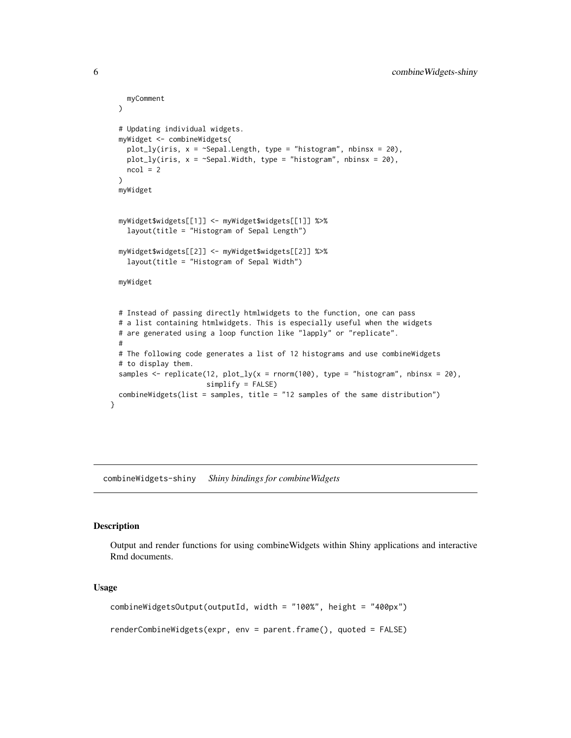```
myComment
 )
 # Updating individual widgets.
 myWidget <- combineWidgets(
   plot_ly(iris, x = ~Sepal.Length, type = "histogram", nbinsx = 20),
   plot_ly(iris, x = \text{``Sepal.width, type = "histogram", nbinsx = 20)},ncol = 2\lambdamyWidget
 myWidget$widgets[[1]] <- myWidget$widgets[[1]] %>%
    layout(title = "Histogram of Sepal Length")
 myWidget$widgets[[2]] <- myWidget$widgets[[2]] %>%
    layout(title = "Histogram of Sepal Width")
 myWidget
 # Instead of passing directly htmlwidgets to the function, one can pass
 # a list containing htmlwidgets. This is especially useful when the widgets
 # are generated using a loop function like "lapply" or "replicate".
  #
 # The following code generates a list of 12 histograms and use combineWidgets
 # to display them.
 samples <- replicate(12, plot_ly(x = rnorm(100), type = "histogram", nbinsx = 20),
                       simplify = FALSE)
 combineWidgets(list = samples, title = "12 samples of the same distribution")
}
```
combineWidgets-shiny *Shiny bindings for combineWidgets*

#### Description

Output and render functions for using combineWidgets within Shiny applications and interactive Rmd documents.

#### Usage

```
combineWidgetsOutput(outputId, width = "100%", height = "400px")
renderCombineWidgets(expr, env = parent.frame(), quoted = FALSE)
```
<span id="page-5-0"></span>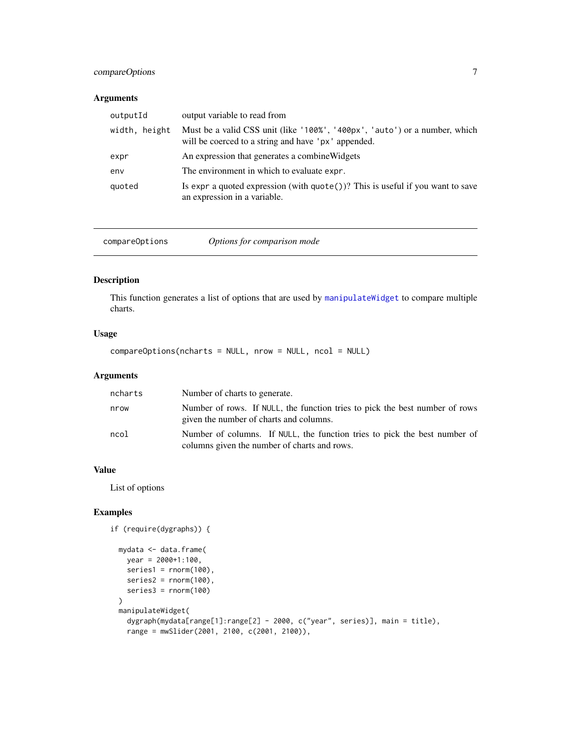## <span id="page-6-0"></span>compareOptions 7

## Arguments

| outputId      | output variable to read from                                                                                                      |
|---------------|-----------------------------------------------------------------------------------------------------------------------------------|
| width, height | Must be a valid CSS unit (like '100%', '400px', 'auto') or a number, which<br>will be coerced to a string and have 'px' appended. |
| expr          | An expression that generates a combine Widgets                                                                                    |
| env           | The environment in which to evaluate expr.                                                                                        |
| quoted        | Is expr a quoted expression (with $\text{quote}()$ )? This is useful if you want to save<br>an expression in a variable.          |

<span id="page-6-1"></span>compareOptions *Options for comparison mode*

#### Description

This function generates a list of options that are used by [manipulateWidget](#page-7-1) to compare multiple charts.

## Usage

compareOptions(ncharts = NULL, nrow = NULL, ncol = NULL)

## Arguments

| ncharts | Number of charts to generate.                                                                                             |
|---------|---------------------------------------------------------------------------------------------------------------------------|
| nrow    | Number of rows. If NULL, the function tries to pick the best number of rows<br>given the number of charts and columns.    |
| ncol    | Number of columns. If NULL, the function tries to pick the best number of<br>columns given the number of charts and rows. |

## Value

List of options

```
if (require(dygraphs)) {
```

```
mydata <- data.frame(
 year = 2000+1:100,
 series1 = rnorm(100),
 series2 = rnorm(100),
 series3 = rnorm(100)
\mathcal{L}manipulateWidget(
 dygraph(mydata[range[1]:range[2] - 2000, c("year", series)], main = title),
 range = mwSlider(2001, 2100, c(2001, 2100)),
```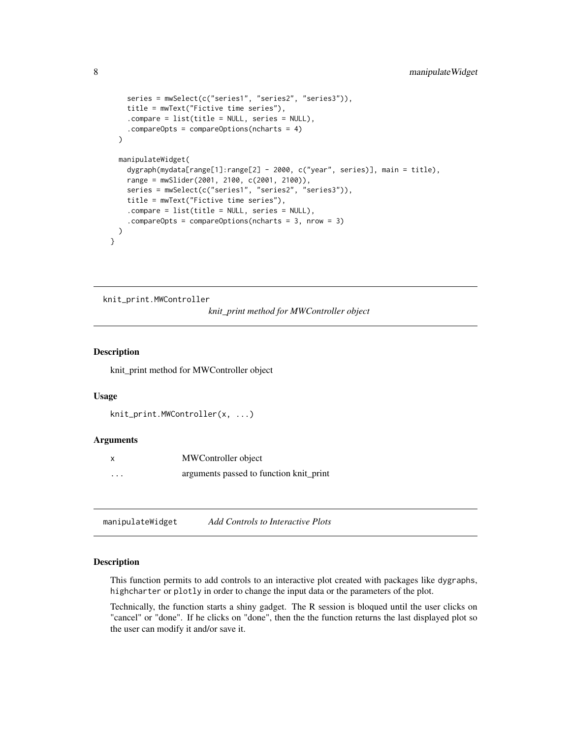```
series = mwSelect(c("series1", "series2", "series3")),
    title = mwText("Fictive time series"),
    .compare = list(title = NULL, series = NULL),
    .compareOpts = compareOptions(ncharts = 4)
 )
 manipulateWidget(
    dygraph(mydata[range[1]:range[2] - 2000, c("year", series)], main = title),
   range = mwSlider(2001, 2100, c(2001, 2100)),
   series = mwSelect(c("series1", "series2", "series3")),
    title = mwText("Fictive time series"),
    .compare = list(title = NULL, series = NULL),
    .compareOpts = compareOptions(ncharts = 3, nrow = 3)
 )
}
```
knit\_print.MWController

*knit\_print method for MWController object*

## Description

knit\_print method for MWController object

#### Usage

```
knit_print.MWController(x, ...)
```
#### Arguments

|          | MWController object                     |
|----------|-----------------------------------------|
| $\cdots$ | arguments passed to function knit_print |

<span id="page-7-1"></span>manipulateWidget *Add Controls to Interactive Plots*

#### Description

This function permits to add controls to an interactive plot created with packages like dygraphs, highcharter or plotly in order to change the input data or the parameters of the plot.

Technically, the function starts a shiny gadget. The R session is bloqued until the user clicks on "cancel" or "done". If he clicks on "done", then the the function returns the last displayed plot so the user can modify it and/or save it.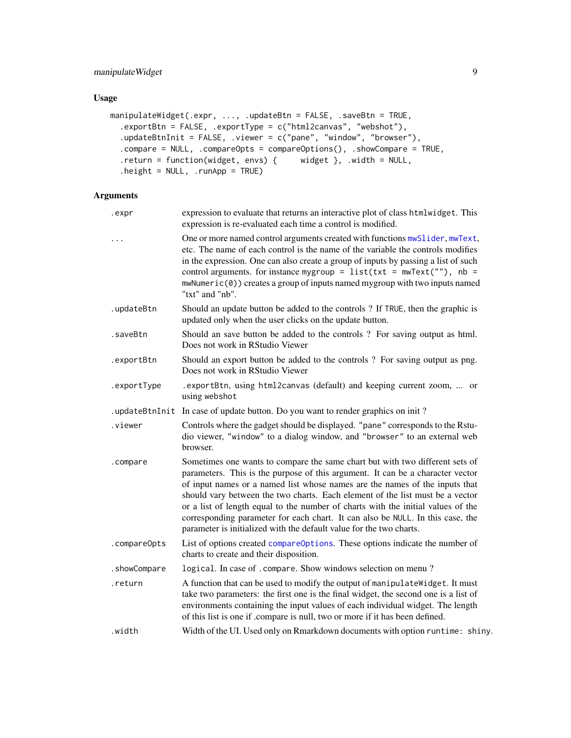## <span id="page-8-0"></span>Usage

```
manipulateWidget(.expr, ..., .updateBtn = FALSE, .saveBtn = TRUE,
  .exportBtn = FALSE, .exportType = c("html2canvas", "webshot"),
  .updateBtnInit = FALSE, .viewer = c("pane", "window", "browser"),
  .compare = NULL, .compareOpts = compareOptions(), .showCompare = TRUE,
  .return = function(widget, envs) { widget }, .width = NULL,
  height = NULL, .runApp = TRUE)
```
# Arguments

| .expr        | expression to evaluate that returns an interactive plot of class htmlwidget. This<br>expression is re-evaluated each time a control is modified.                                                                                                                                                                                                                                                                                                                                                                                                                            |
|--------------|-----------------------------------------------------------------------------------------------------------------------------------------------------------------------------------------------------------------------------------------------------------------------------------------------------------------------------------------------------------------------------------------------------------------------------------------------------------------------------------------------------------------------------------------------------------------------------|
| $\cdots$     | One or more named control arguments created with functions mwSlider, mwText,<br>etc. The name of each control is the name of the variable the controls modifies<br>in the expression. One can also create a group of inputs by passing a list of such<br>control arguments. for instance mygroup = $list(tx = mwText("")$ , nb =<br>mwNumeric(0)) creates a group of inputs named mygroup with two inputs named<br>"txt" and "nb".                                                                                                                                          |
| .updateBtn   | Should an update button be added to the controls ? If TRUE, then the graphic is<br>updated only when the user clicks on the update button.                                                                                                                                                                                                                                                                                                                                                                                                                                  |
| .saveBtn     | Should an save button be added to the controls? For saving output as html.<br>Does not work in RStudio Viewer                                                                                                                                                                                                                                                                                                                                                                                                                                                               |
| .exportBtn   | Should an export button be added to the controls ? For saving output as png.<br>Does not work in RStudio Viewer                                                                                                                                                                                                                                                                                                                                                                                                                                                             |
| .exportType  | .exportBtn, using html2canvas (default) and keeping current zoom,  or<br>using webshot                                                                                                                                                                                                                                                                                                                                                                                                                                                                                      |
|              | . updateBtnInit In case of update button. Do you want to render graphics on init?                                                                                                                                                                                                                                                                                                                                                                                                                                                                                           |
| .viewer      | Controls where the gadget should be displayed. "pane" corresponds to the Rstu-<br>dio viewer, "window" to a dialog window, and "browser" to an external web<br>browser.                                                                                                                                                                                                                                                                                                                                                                                                     |
| .compare     | Sometimes one wants to compare the same chart but with two different sets of<br>parameters. This is the purpose of this argument. It can be a character vector<br>of input names or a named list whose names are the names of the inputs that<br>should vary between the two charts. Each element of the list must be a vector<br>or a list of length equal to the number of charts with the initial values of the<br>corresponding parameter for each chart. It can also be NULL. In this case, the<br>parameter is initialized with the default value for the two charts. |
| .compareOpts | List of options created compare Options. These options indicate the number of<br>charts to create and their disposition.                                                                                                                                                                                                                                                                                                                                                                                                                                                    |
| .showCompare | logical. In case of .compare. Show windows selection on menu?                                                                                                                                                                                                                                                                                                                                                                                                                                                                                                               |
| .return      | A function that can be used to modify the output of manipulate Widget. It must<br>take two parameters: the first one is the final widget, the second one is a list of<br>environments containing the input values of each individual widget. The length<br>of this list is one if .compare is null, two or more if it has been defined.                                                                                                                                                                                                                                     |
| .width       | Width of the UI. Used only on Rmarkdown documents with option runtime: shiny.                                                                                                                                                                                                                                                                                                                                                                                                                                                                                               |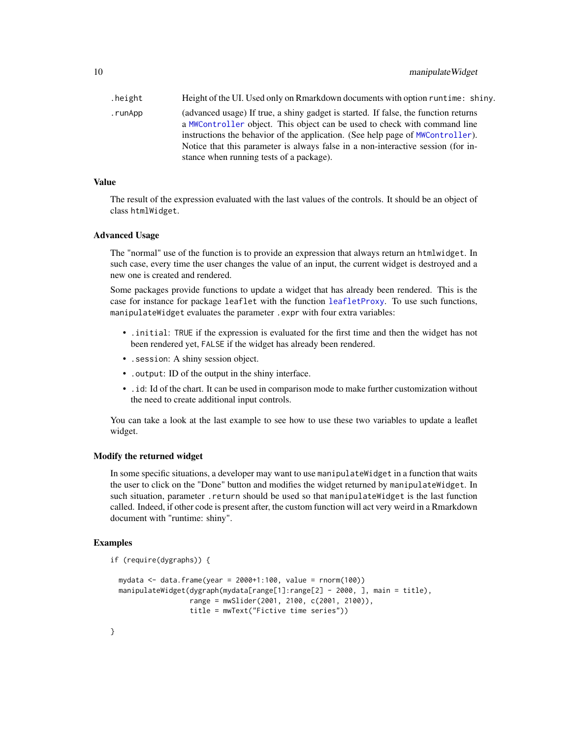<span id="page-9-0"></span>.height Height of the UI. Used only on Rmarkdown documents with option runtime: shiny. .runApp (advanced usage) If true, a shiny gadget is started. If false, the function returns a [MWController](#page-14-1) object. This object can be used to check with command line instructions the behavior of the application. (See help page of [MWController](#page-14-1)). Notice that this parameter is always false in a non-interactive session (for instance when running tests of a package).

#### Value

The result of the expression evaluated with the last values of the controls. It should be an object of class htmlWidget.

#### Advanced Usage

The "normal" use of the function is to provide an expression that always return an htmlwidget. In such case, every time the user changes the value of an input, the current widget is destroyed and a new one is created and rendered.

Some packages provide functions to update a widget that has already been rendered. This is the case for instance for package leaflet with the function [leafletProxy](#page-0-0). To use such functions, manipulateWidget evaluates the parameter .expr with four extra variables:

- .initial: TRUE if the expression is evaluated for the first time and then the widget has not been rendered yet, FALSE if the widget has already been rendered.
- .session: A shiny session object.
- .output: ID of the output in the shiny interface.
- .id: Id of the chart. It can be used in comparison mode to make further customization without the need to create additional input controls.

You can take a look at the last example to see how to use these two variables to update a leaflet widget.

#### Modify the returned widget

In some specific situations, a developer may want to use manipulateWidget in a function that waits the user to click on the "Done" button and modifies the widget returned by manipulateWidget. In such situation, parameter .return should be used so that manipulateWidget is the last function called. Indeed, if other code is present after, the custom function will act very weird in a Rmarkdown document with "runtime: shiny".

```
if (require(dygraphs)) {
```

```
mydata <- data.frame(year = 2000+1:100, value = rnorm(100))
manipulateWidget(dygraph(mydata[range[1]:range[2] - 2000, ], main = title),
                 range = mwSlider(2001, 2100, c(2001, 2100)),
                 title = mwText("Fictive time series"))
```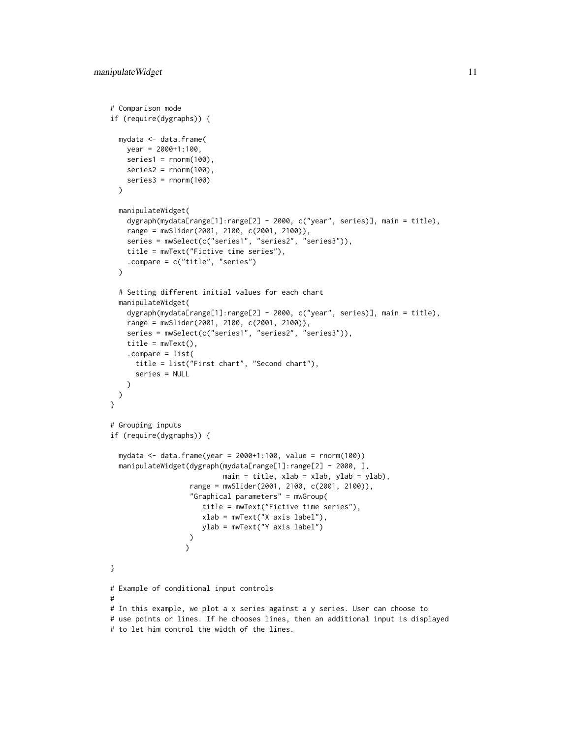```
# Comparison mode
if (require(dygraphs)) {
 mydata <- data.frame(
   year = 2000+1:100,
   series1 = rnorm(100),
   series2 = rnorm(100),
   series3 = rnorm(100)\lambdamanipulateWidget(
    dygraph(mydata[range[1]:range[2] - 2000, c("year", series)], main = title),
    range = mwSlider(2001, 2100, c(2001, 2100)),
   series = mwSelect(c("series1", "series2", "series3")),
   title = mwText("Fictive time series"),
    .compare = c("title", "series")
 )
 # Setting different initial values for each chart
 manipulateWidget(
   dygraph(mydata[range[1]:range[2] - 2000, c("year", series)], main = title),
   range = mwSlider(2001, 2100, c(2001, 2100)),
   series = mwSelect(c("series1", "series2", "series3")),
   title = mwText(),
    .compare = list(
     title = list("First chart", "Second chart"),
     series = NULL
   )
 )
}
# Grouping inputs
if (require(dygraphs)) {
 mydata <- data.frame(year = 2000+1:100, value = rnorm(100))
 manipulateWidget(dygraph(mydata[range[1]:range[2] - 2000, ],
                           main = title, xlab = xlab, ylab = ylab),
                   range = mwSlider(2001, 2100, c(2001, 2100)),
                   "Graphical parameters" = mwGroup(
                      title = mwText("Fictive time series"),
                      xlab = mwText("X axis label"),
                      ylab = mwText("Y axis label")
                  )
                  )
}
# Example of conditional input controls
#
# In this example, we plot a x series against a y series. User can choose to
# use points or lines. If he chooses lines, then an additional input is displayed
# to let him control the width of the lines.
```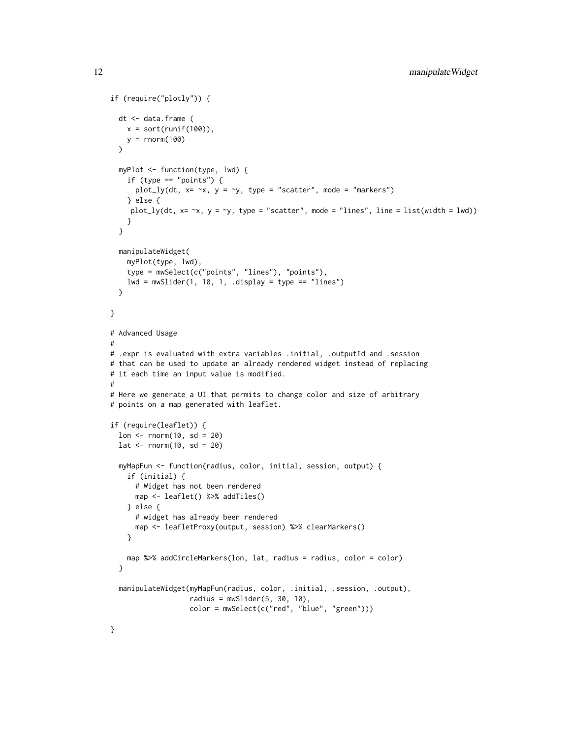```
if (require("plotly")) {
  dt <- data.frame (
   x = sort(runif(100)),y = rnorm(100)\lambdamyPlot <- function(type, lwd) {
    if (type == "points") {
      plot_ly(dt, x= \infty, y = \infty, type = "scatter", mode = "markers")
    } else {
    plot_ly(dt, x= \neg x, y = \neg y, type = "scatter", mode = "lines", line = list(width = lwd))
    }
  }
  manipulateWidget(
   myPlot(type, lwd),
   type = mwSelect(c("points", "lines"), "points"),
   lwd = mwSlider(1, 10, 1, .display = type == "lines"))
}
# Advanced Usage
#
# .expr is evaluated with extra variables .initial, .outputId and .session
# that can be used to update an already rendered widget instead of replacing
# it each time an input value is modified.
#
# Here we generate a UI that permits to change color and size of arbitrary
# points on a map generated with leaflet.
if (require(leaflet)) {
  lon < - rnorm(10, sd = 20)lat \le- rnorm(10, sd = 20)
  myMapFun <- function(radius, color, initial, session, output) {
    if (initial) {
      # Widget has not been rendered
      map <- leaflet() %>% addTiles()
    } else {
      # widget has already been rendered
      map <- leafletProxy(output, session) %>% clearMarkers()
    }
    map %>% addCircleMarkers(lon, lat, radius = radius, color = color)
  }
  manipulateWidget(myMapFun(radius, color, .initial, .session, .output),
                   radius = mwSlider(5, 30, 10),
                   color = mwSelect(c("red", "blue", "green"))}
```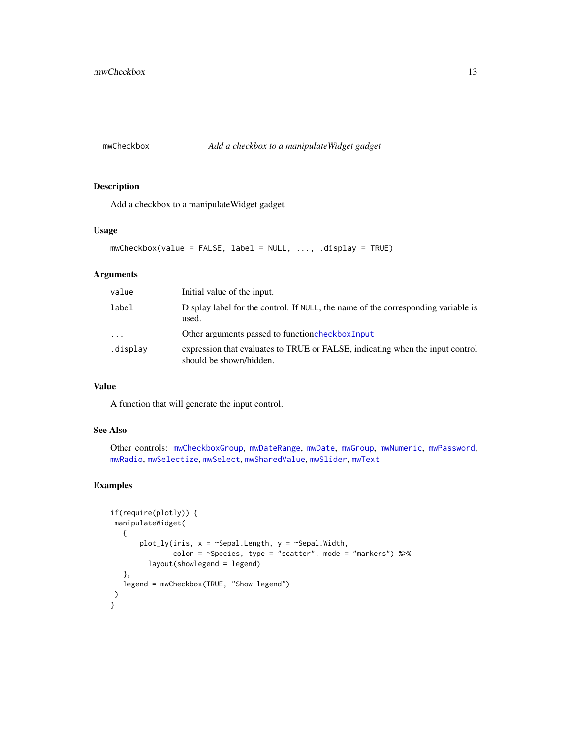## <span id="page-12-1"></span><span id="page-12-0"></span>mwCheckbox *Add a checkbox to a manipulateWidget gadget*

## Description

Add a checkbox to a manipulateWidget gadget

## Usage

```
mwCheckbox(value = FALSE, label = NULL, ..., .display = TRUE)
```
## Arguments

| value    | Initial value of the input.                                                                              |
|----------|----------------------------------------------------------------------------------------------------------|
| label    | Display label for the control. If NULL, the name of the corresponding variable is<br>used.               |
| $\cdots$ | Other arguments passed to function checkbox Input                                                        |
| .display | expression that evaluates to TRUE or FALSE, indicating when the input control<br>should be shown/hidden. |

#### Value

A function that will generate the input control.

## See Also

Other controls: [mwCheckboxGroup](#page-13-1), [mwDateRange](#page-16-1), [mwDate](#page-15-1), [mwGroup](#page-17-1), [mwNumeric](#page-19-1), [mwPassword](#page-20-1), [mwRadio](#page-21-1), [mwSelectize](#page-24-1), [mwSelect](#page-22-1), [mwSharedValue](#page-25-1), [mwSlider](#page-26-1), [mwText](#page-27-1)

```
if(require(plotly)) {
manipulateWidget(
   {
       plot_ly(iris, x = \text{``Sepal.Length}, y = \text{``Sepal.Width},color = ~Species, type = "scatter", mode = "markers") %>%
         layout(showlegend = legend)
   },
  legend = mwCheckbox(TRUE, "Show legend")
)
}
```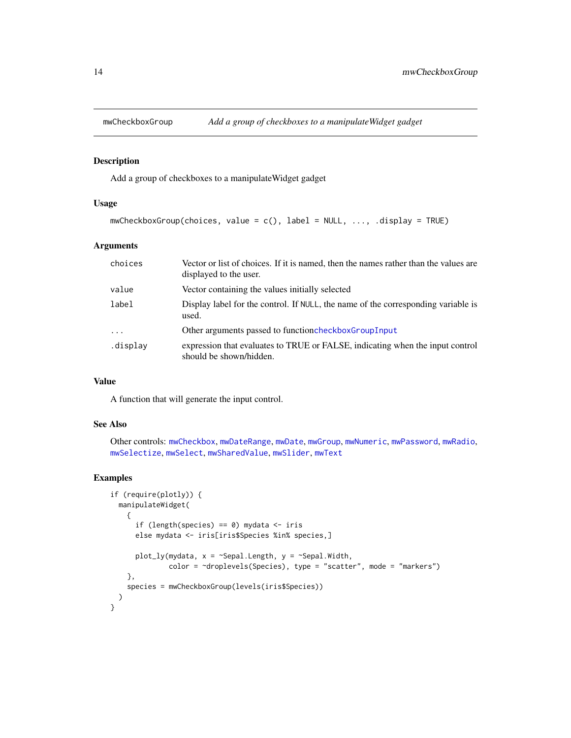<span id="page-13-1"></span><span id="page-13-0"></span>

#### Description

Add a group of checkboxes to a manipulateWidget gadget

#### Usage

```
mwCheckboxGroup(choices, value = c(), label = NULL, ..., .display = TRUE)
```
## Arguments

| choices                 | Vector or list of choices. If it is named, then the names rather than the values are<br>displayed to the user. |
|-------------------------|----------------------------------------------------------------------------------------------------------------|
| value                   | Vector containing the values initially selected                                                                |
| label                   | Display label for the control. If NULL, the name of the corresponding variable is<br>used.                     |
| $\cdot$ $\cdot$ $\cdot$ | Other arguments passed to function checkbox Group Input                                                        |
| .display                | expression that evaluates to TRUE or FALSE, indicating when the input control<br>should be shown/hidden.       |

## Value

A function that will generate the input control.

#### See Also

```
Other controls: mwCheckbox, mwDateRange, mwDate, mwGroup, mwNumeric, mwPassword, mwRadio,
mwSelectize, mwSelect, mwSharedValue, mwSlider, mwText
```

```
if (require(plotly)) {
 manipulateWidget(
    {
      if (length(species) == 0) mydata \le- iris
      else mydata <- iris[iris$Species %in% species,]
      plot_{ly(mydata, x = \text{``Sepal.Length, y = \text{``Sepal.Width, '}}color = ~droplevels(Species), type = "scatter", mode = "markers")
   },
    species = mwCheckboxGroup(levels(iris$Species))
 )
}
```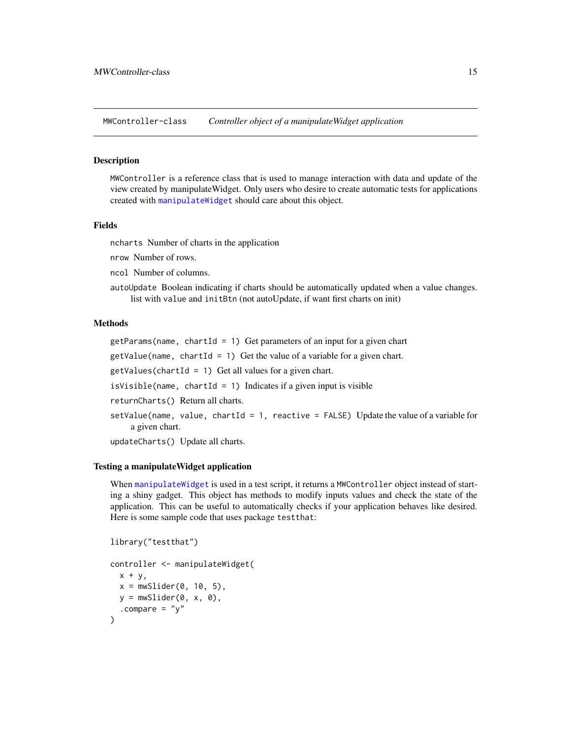<span id="page-14-0"></span>MWController-class *Controller object of a manipulateWidget application*

#### <span id="page-14-1"></span>Description

MWController is a reference class that is used to manage interaction with data and update of the view created by manipulateWidget. Only users who desire to create automatic tests for applications created with [manipulateWidget](#page-7-1) should care about this object.

#### Fields

ncharts Number of charts in the application

nrow Number of rows.

ncol Number of columns.

autoUpdate Boolean indicating if charts should be automatically updated when a value changes. list with value and initBtn (not autoUpdate, if want first charts on init)

## Methods

getParams(name, chartId = 1) Get parameters of an input for a given chart

 $getValue(name, chartId = 1) Get the value of a variable for a given chart.$ 

 $getValues(chartId = 1) Get all values for a given chart.$ 

 $isVisible(name, chartId = 1)$  Indicates if a given input is visible

returnCharts() Return all charts.

```
setValue(name, value, chartId = 1, reactive = FALSE) Update the value of a variable for
    a given chart.
```
updateCharts() Update all charts.

#### Testing a manipulateWidget application

When [manipulateWidget](#page-7-1) is used in a test script, it returns a MWController object instead of starting a shiny gadget. This object has methods to modify inputs values and check the state of the application. This can be useful to automatically checks if your application behaves like desired. Here is some sample code that uses package testthat:

```
library("testthat")
controller <- manipulateWidget(
  x + y,
  x = mwSlider(0, 10, 5),
 y = mwSlider(0, x, 0),
  .compare = "y")
```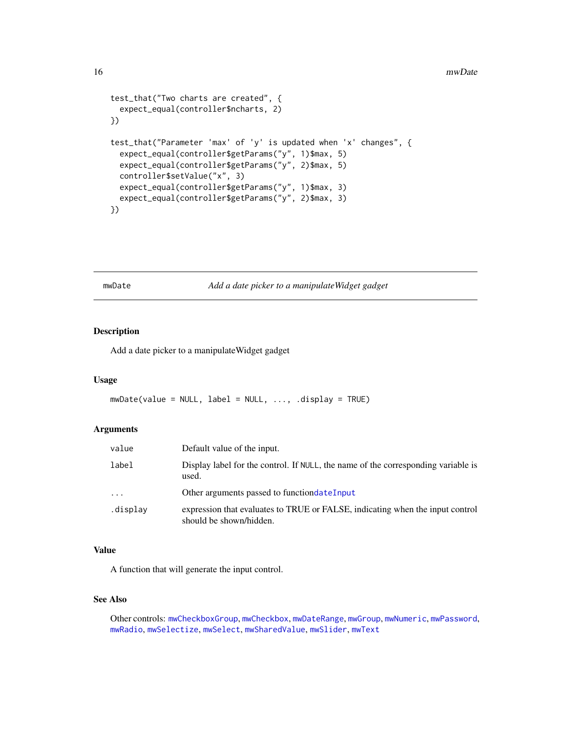```
test_that("Two charts are created", {
 expect_equal(controller$ncharts, 2)
})
test_that("Parameter 'max' of 'y' is updated when 'x' changes", {
  expect_equal(controller$getParams("y", 1)$max, 5)
 expect_equal(controller$getParams("y", 2)$max, 5)
 controller$setValue("x", 3)
 expect_equal(controller$getParams("y", 1)$max, 3)
 expect_equal(controller$getParams("y", 2)$max, 3)
})
```
<span id="page-15-1"></span>

mwDate *Add a date picker to a manipulateWidget gadget*

## Description

Add a date picker to a manipulateWidget gadget

## Usage

```
mwDate(value = NULL, label = NULL, ..., .display = TRUE)
```
#### Arguments

| value      | Default value of the input.                                                                              |
|------------|----------------------------------------------------------------------------------------------------------|
| label      | Display label for the control. If NULL, the name of the corresponding variable is<br>used.               |
| $\ddots$ . | Other arguments passed to function date Input                                                            |
| .display   | expression that evaluates to TRUE or FALSE, indicating when the input control<br>should be shown/hidden. |

#### Value

A function that will generate the input control.

## See Also

Other controls: [mwCheckboxGroup](#page-13-1), [mwCheckbox](#page-12-1), [mwDateRange](#page-16-1), [mwGroup](#page-17-1), [mwNumeric](#page-19-1), [mwPassword](#page-20-1), [mwRadio](#page-21-1), [mwSelectize](#page-24-1), [mwSelect](#page-22-1), [mwSharedValue](#page-25-1), [mwSlider](#page-26-1), [mwText](#page-27-1)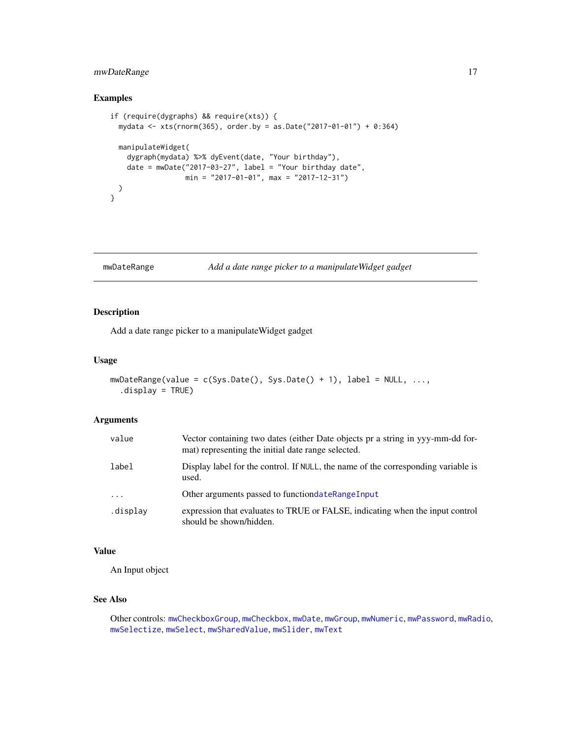## <span id="page-16-0"></span>mwDateRange 17

## Examples

```
if (require(dygraphs) && require(xts)) {
 mydata <- xts(rnorm(365), order.by = as.Date("2017-01-01") + 0:364)
 manipulateWidget(
   dygraph(mydata) %>% dyEvent(date, "Your birthday"),
   date = mwDate("2017-03-27", label = "Your birthday date",
                 min = "2017-01-01", max = "2017-12-31")
 )
}
```

```
mwDateRange Add a date range picker to a manipulateWidget gadget
```
## Description

Add a date range picker to a manipulateWidget gadget

## Usage

```
mWDateRange(value = c(Sys.Date(), Sys.Date() + 1), label = NULL, ...,.display = TRUE)
```
## Arguments

| value    | Vector containing two dates (either Date objects pr a string in yyy-mm-dd for-<br>mat) representing the initial date range selected. |
|----------|--------------------------------------------------------------------------------------------------------------------------------------|
| label    | Display label for the control. If NULL, the name of the corresponding variable is<br>used.                                           |
| $\ddots$ | Other arguments passed to function date Range Input                                                                                  |
| .display | expression that evaluates to TRUE or FALSE, indicating when the input control<br>should be shown/hidden.                             |

#### Value

An Input object

## See Also

Other controls: [mwCheckboxGroup](#page-13-1), [mwCheckbox](#page-12-1), [mwDate](#page-15-1), [mwGroup](#page-17-1), [mwNumeric](#page-19-1), [mwPassword](#page-20-1), [mwRadio](#page-21-1), [mwSelectize](#page-24-1), [mwSelect](#page-22-1), [mwSharedValue](#page-25-1), [mwSlider](#page-26-1), [mwText](#page-27-1)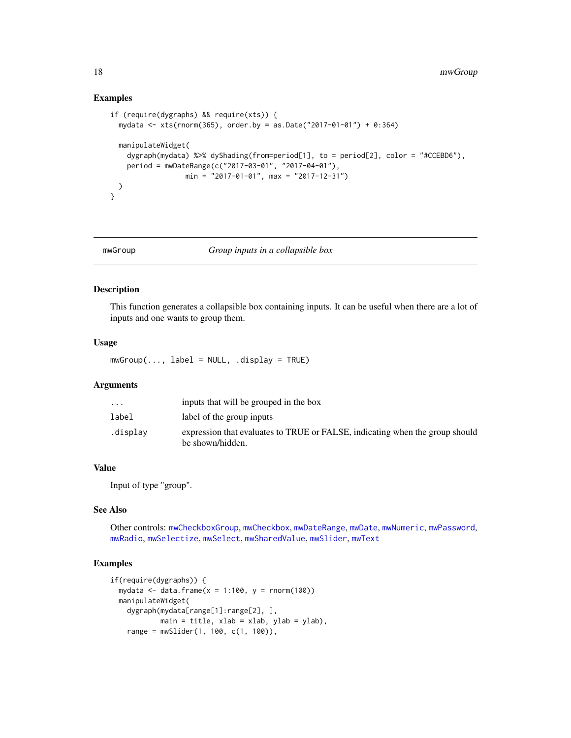## Examples

```
if (require(dygraphs) && require(xts)) {
 mydata <- xts(rnorm(365), order.by = as.Date("2017-01-01") + 0:364)
 manipulateWidget(
   dygraph(mydata) %>% dyShading(from=period[1], to = period[2], color = "#CCEBD6"),
   period = mwDateRange(c("2017-03-01", "2017-04-01"),
                 min = "2017-01-01", max = "2017-12-31")
 )
}
```
#### <span id="page-17-1"></span>mwGroup *Group inputs in a collapsible box*

#### Description

This function generates a collapsible box containing inputs. It can be useful when there are a lot of inputs and one wants to group them.

## Usage

 $mwGroup(..., label = NULL, .display = TRUE)$ 

## Arguments

| $\cdot$ $\cdot$ $\cdot$ | inputs that will be grouped in the box                                                           |
|-------------------------|--------------------------------------------------------------------------------------------------|
| label                   | label of the group inputs                                                                        |
| .display                | expression that evaluates to TRUE or FALSE, indicating when the group should<br>be shown/hidden. |

## Value

Input of type "group".

## See Also

Other controls: [mwCheckboxGroup](#page-13-1), [mwCheckbox](#page-12-1), [mwDateRange](#page-16-1), [mwDate](#page-15-1), [mwNumeric](#page-19-1), [mwPassword](#page-20-1), [mwRadio](#page-21-1), [mwSelectize](#page-24-1), [mwSelect](#page-22-1), [mwSharedValue](#page-25-1), [mwSlider](#page-26-1), [mwText](#page-27-1)

```
if(require(dygraphs)) {
 mydata \le data.frame(x = 1:100, y = rnorm(100))
 manipulateWidget(
   dygraph(mydata[range[1]:range[2], ],
           main = title, xlab = xlab, ylab = ylab),
   range = mwSlider(1, 100, c(1, 100)),
```
<span id="page-17-0"></span>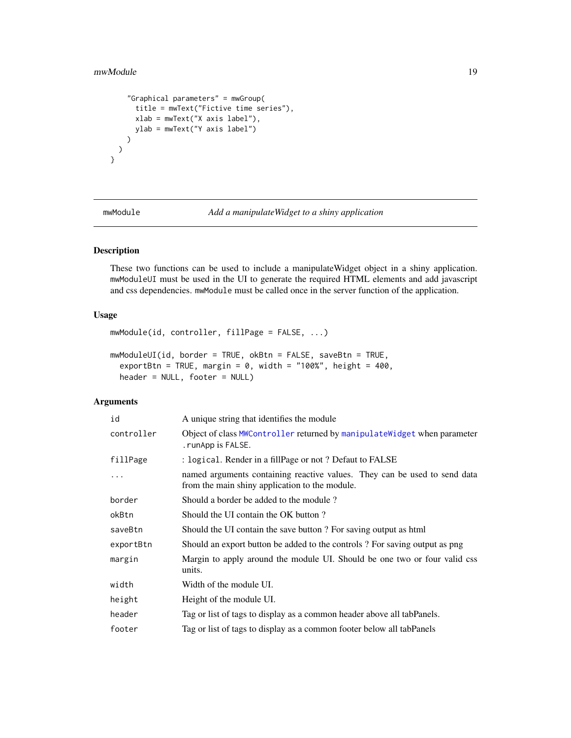#### <span id="page-18-0"></span>mwModule 19

```
"Graphical parameters" = mwGroup(
     title = mwText("Fictive time series"),
     xlab = mwText("X axis label"),
     ylab = mwText("Y axis label")
   )
 )
}
```
mwModule *Add a manipulateWidget to a shiny application*

## Description

These two functions can be used to include a manipulateWidget object in a shiny application. mwModuleUI must be used in the UI to generate the required HTML elements and add javascript and css dependencies. mwModule must be called once in the server function of the application.

#### Usage

```
mwModule(id, controller, fillPage = FALSE, ...)
```

```
mwModuleUI(id, border = TRUE, okBtn = FALSE, saveBtn = TRUE,
  exportBtn = TRUE, margin = 0, width = "100%", height = 400,
 header = NULL, footer = NULL)
```
## Arguments

| id         | A unique string that identifies the module                                                                                  |
|------------|-----------------------------------------------------------------------------------------------------------------------------|
| controller | Object of class MWController returned by manipulateWidget when parameter<br>. runApp is FALSE.                              |
| fillPage   | : logical. Render in a fillPage or not? Defaut to FALSE                                                                     |
| .          | named arguments containing reactive values. They can be used to send data<br>from the main shiny application to the module. |
| border     | Should a border be added to the module?                                                                                     |
| okBtn      | Should the UI contain the OK button?                                                                                        |
| saveBtn    | Should the UI contain the save button? For saving output as html                                                            |
| exportBtn  | Should an export button be added to the controls? For saving output as png                                                  |
| margin     | Margin to apply around the module UI. Should be one two or four valid css<br>units.                                         |
| width      | Width of the module UI.                                                                                                     |
| height     | Height of the module UI.                                                                                                    |
| header     | Tag or list of tags to display as a common header above all tabPanels.                                                      |
| footer     | Tag or list of tags to display as a common footer below all tabPanels                                                       |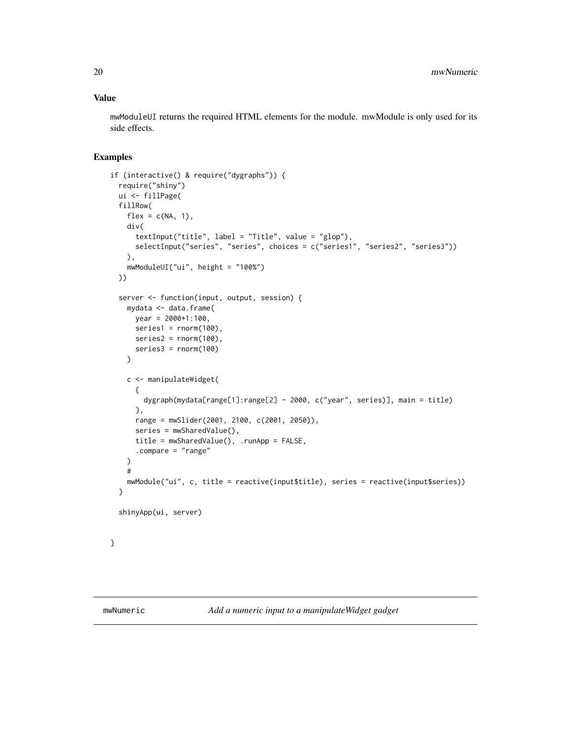### <span id="page-19-0"></span>Value

mwModuleUI returns the required HTML elements for the module. mwModule is only used for its side effects.

```
if (interactive() & require("dygraphs")) {
 require("shiny")
 ui <- fillPage(
 fillRow(
   flex = c(NA, 1),div(
     textInput("title", label = "Title", value = "glop"),
     selectInput("series", "series", choices = c("series1", "series2", "series3"))
   ),
   mwModuleUI("ui", height = "100%")
 ))
 server <- function(input, output, session) {
   mydata <- data.frame(
     year = 2000+1:100,
     series1 = rnorm(100),
     series2 = rnorm(100),
     series3 = rnorm(100)
   )
    c <- manipulateWidget(
     {
       dygraph(mydata[range[1]:range[2] - 2000, c("year", series)], main = title)
     },
     range = mwSlider(2001, 2100, c(2001, 2050)),
     series = mwSharedValue(),
     title = mwSharedValue(), .runApp = FALSE,
     .compare = "range"
   )
   #
   mwModule("ui", c, title = reactive(input$title), series = reactive(input$series))
 }
 shinyApp(ui, server)
}
```
<span id="page-19-1"></span>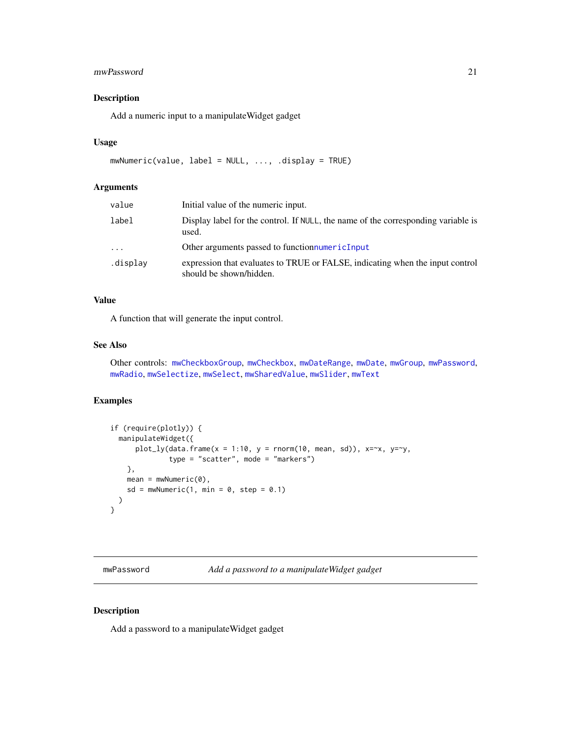#### <span id="page-20-0"></span>mwPassword 21

## Description

Add a numeric input to a manipulateWidget gadget

#### Usage

```
mwNumeric(value, label = NULL, ..., .display = TRUE)
```
#### Arguments

| value    | Initial value of the numeric input.                                                                      |
|----------|----------------------------------------------------------------------------------------------------------|
| label    | Display label for the control. If NULL, the name of the corresponding variable is<br>used.               |
| $\cdots$ | Other arguments passed to function numeric Input                                                         |
| .display | expression that evaluates to TRUE or FALSE, indicating when the input control<br>should be shown/hidden. |

#### Value

A function that will generate the input control.

## See Also

Other controls: [mwCheckboxGroup](#page-13-1), [mwCheckbox](#page-12-1), [mwDateRange](#page-16-1), [mwDate](#page-15-1), [mwGroup](#page-17-1), [mwPassword](#page-20-1), [mwRadio](#page-21-1), [mwSelectize](#page-24-1), [mwSelect](#page-22-1), [mwSharedValue](#page-25-1), [mwSlider](#page-26-1), [mwText](#page-27-1)

## Examples

```
if (require(plotly)) {
  manipulateWidget({
      plot_{ly(data.frame(x = 1:10, y = rnorm(10, mean, sd)), x=x, y=y,type = "scatter", mode = "markers")
   },
   mean = mwhumeric(0),
   sd = mwhumeric(1, min = 0, step = 0.1))
}
```
<span id="page-20-1"></span>mwPassword *Add a password to a manipulateWidget gadget*

## Description

Add a password to a manipulateWidget gadget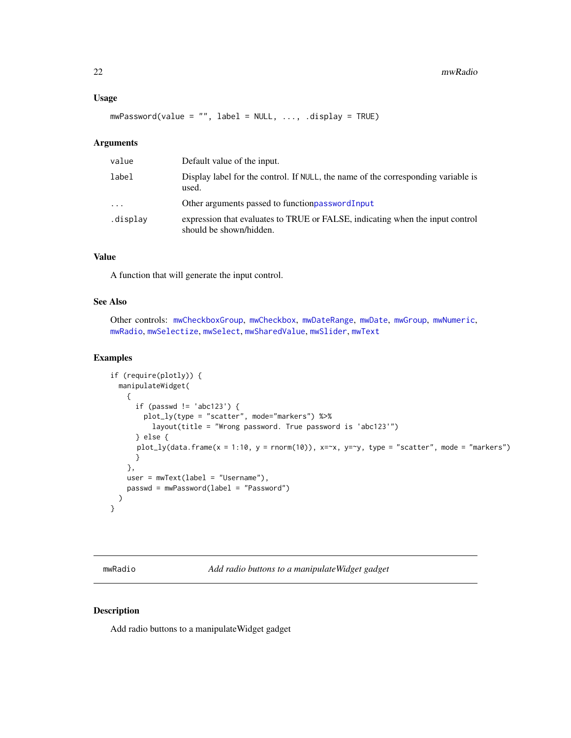#### <span id="page-21-0"></span>Usage

mwPassword(value = "", label = NULL, ..., .display = TRUE)

## Arguments

| value    | Default value of the input.                                                                              |
|----------|----------------------------------------------------------------------------------------------------------|
| label    | Display label for the control. If NULL, the name of the corresponding variable is<br>used.               |
| $\cdots$ | Other arguments passed to function password Input                                                        |
| .display | expression that evaluates to TRUE or FALSE, indicating when the input control<br>should be shown/hidden. |

## Value

A function that will generate the input control.

## See Also

Other controls: [mwCheckboxGroup](#page-13-1), [mwCheckbox](#page-12-1), [mwDateRange](#page-16-1), [mwDate](#page-15-1), [mwGroup](#page-17-1), [mwNumeric](#page-19-1), [mwRadio](#page-21-1), [mwSelectize](#page-24-1), [mwSelect](#page-22-1), [mwSharedValue](#page-25-1), [mwSlider](#page-26-1), [mwText](#page-27-1)

## Examples

```
if (require(plotly)) {
 manipulateWidget(
   {
     if (passwd != 'abc123') {
        plot_ly(type = "scatter", mode="markers") %>%
          layout(title = "Wrong password. True password is 'abc123'")
     } else {
      plot_ly(data.frame(x = 1:10, y = rnorm(10)), x=x, y=y, type = "scatter", mode = "markers")
     }
   },
   user = mwText(label = "Username"),
   passwd = mwPassword(label = "Password")
 )
}
```
<span id="page-21-1"></span>mwRadio *Add radio buttons to a manipulateWidget gadget*

## Description

Add radio buttons to a manipulateWidget gadget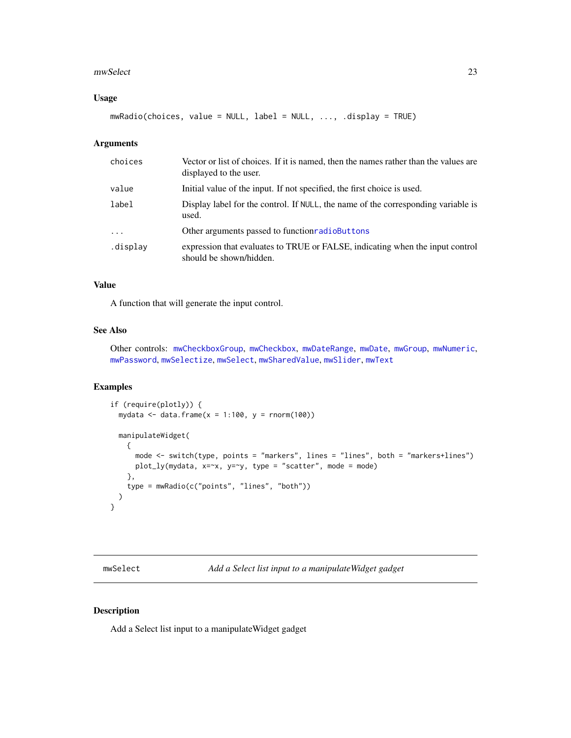#### <span id="page-22-0"></span>mwSelect 23

## Usage

mwRadio(choices, value = NULL, label = NULL, ..., .display = TRUE)

## Arguments

| choices    | Vector or list of choices. If it is named, then the names rather than the values are<br>displayed to the user. |
|------------|----------------------------------------------------------------------------------------------------------------|
| value      | Initial value of the input. If not specified, the first choice is used.                                        |
| label      | Display label for the control. If NULL, the name of the corresponding variable is<br>used.                     |
| $\ddots$ . | Other arguments passed to function radio Buttons                                                               |
| .display   | expression that evaluates to TRUE or FALSE, indicating when the input control<br>should be shown/hidden.       |

## Value

A function that will generate the input control.

## See Also

Other controls: [mwCheckboxGroup](#page-13-1), [mwCheckbox](#page-12-1), [mwDateRange](#page-16-1), [mwDate](#page-15-1), [mwGroup](#page-17-1), [mwNumeric](#page-19-1), [mwPassword](#page-20-1), [mwSelectize](#page-24-1), [mwSelect](#page-22-1), [mwSharedValue](#page-25-1), [mwSlider](#page-26-1), [mwText](#page-27-1)

## Examples

```
if (require(plotly)) {
 mydata <- data.frame(x = 1:100, y = rnorm(100))manipulateWidget(
   {
     mode <- switch(type, points = "markers", lines = "lines", both = "markers+lines")
     plot_ly(mydata, x=~x, y=~y, type = "scatter", mode = mode)
   },
    type = mwRadio(c("points", "lines", "both"))
 )
}
```
<span id="page-22-1"></span>mwSelect *Add a Select list input to a manipulateWidget gadget*

### Description

Add a Select list input to a manipulateWidget gadget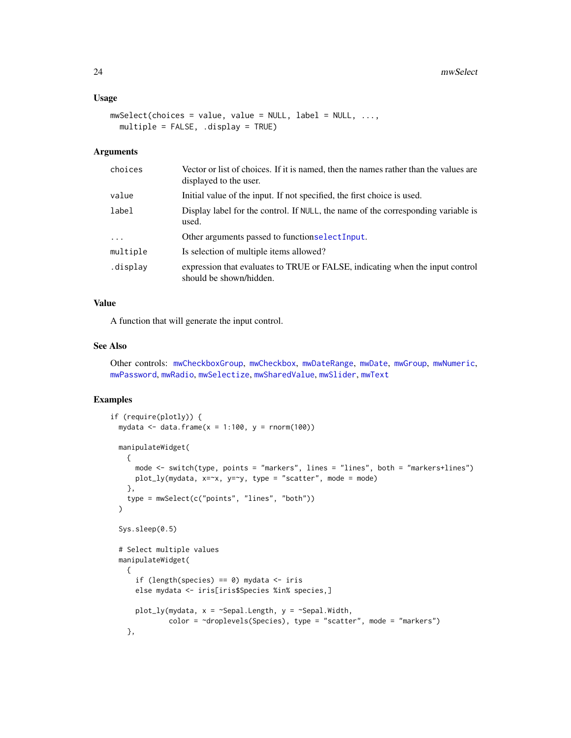#### <span id="page-23-0"></span>Usage

```
mwSelect(choices = value, value = NULL, label = NULL, ...,
 multiple = FALSE, .display = TRUE)
```
#### Arguments

| choices  | Vector or list of choices. If it is named, then the names rather than the values are<br>displayed to the user. |
|----------|----------------------------------------------------------------------------------------------------------------|
| value    | Initial value of the input. If not specified, the first choice is used.                                        |
| label    | Display label for the control. If NULL, the name of the corresponding variable is<br>used.                     |
| $\cdots$ | Other arguments passed to functionselectInput.                                                                 |
| multiple | Is selection of multiple items allowed?                                                                        |
| .display | expression that evaluates to TRUE or FALSE, indicating when the input control<br>should be shown/hidden.       |

## Value

A function that will generate the input control.

#### See Also

Other controls: [mwCheckboxGroup](#page-13-1), [mwCheckbox](#page-12-1), [mwDateRange](#page-16-1), [mwDate](#page-15-1), [mwGroup](#page-17-1), [mwNumeric](#page-19-1), [mwPassword](#page-20-1), [mwRadio](#page-21-1), [mwSelectize](#page-24-1), [mwSharedValue](#page-25-1), [mwSlider](#page-26-1), [mwText](#page-27-1)

```
if (require(plotly)) {
 mydata \le data.frame(x = 1:100, y = rnorm(100))
 manipulateWidget(
   {
     mode <- switch(type, points = "markers", lines = "lines", both = "markers+lines")
     plot_{ly(mydata, x=x, y=y, type = "scatter", mode = mode)}},
    type = mwSelect(c("points", "lines", "both"))
 \lambdaSys.sleep(0.5)
 # Select multiple values
 manipulateWidget(
   {
      if (length(species) == 0) mydata \le iris
      else mydata <- iris[iris$Species %in% species,]
      plot_{ly(mydata, x = \text{Sepal.Length}, y = \text{Sepal.Width},color = ~droplevels(Species), type = "scatter", mode = "markers")
    },
```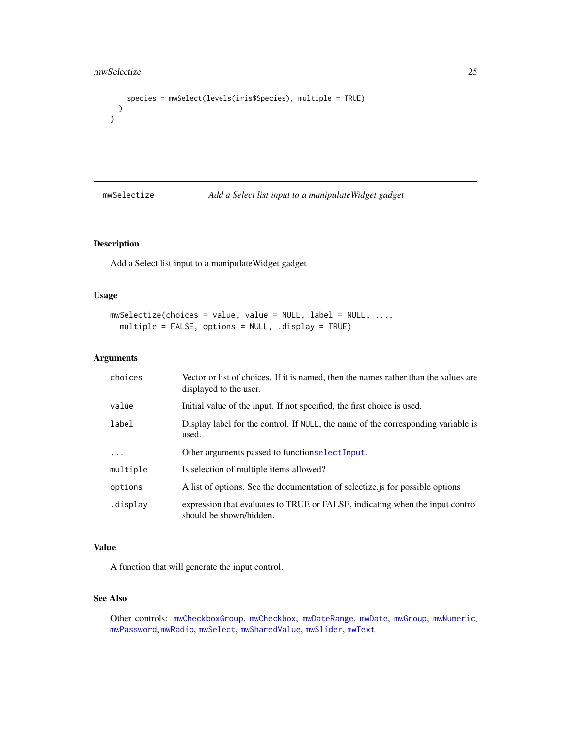```
species = mwSelect(levels(iris$Species), multiple = TRUE)
 )
}
```
<span id="page-24-1"></span>mwSelectize *Add a Select list input to a manipulateWidget gadget*

## Description

Add a Select list input to a manipulateWidget gadget

#### Usage

```
mwSelectize(choices = value, value = NULL, label = NULL, ...,
 multiple = FALSE, options = NULL, .display = TRUE)
```
## Arguments

| choices  | Vector or list of choices. If it is named, then the names rather than the values are<br>displayed to the user. |
|----------|----------------------------------------------------------------------------------------------------------------|
| value    | Initial value of the input. If not specified, the first choice is used.                                        |
| label    | Display label for the control. If NULL, the name of the corresponding variable is<br>used.                     |
| .        | Other arguments passed to functionselect Input.                                                                |
| multiple | Is selection of multiple items allowed?                                                                        |
| options  | A list of options. See the documentation of selectize is for possible options                                  |
| display. | expression that evaluates to TRUE or FALSE, indicating when the input control<br>should be shown/hidden.       |

## Value

A function that will generate the input control.

## See Also

Other controls: [mwCheckboxGroup](#page-13-1), [mwCheckbox](#page-12-1), [mwDateRange](#page-16-1), [mwDate](#page-15-1), [mwGroup](#page-17-1), [mwNumeric](#page-19-1), [mwPassword](#page-20-1), [mwRadio](#page-21-1), [mwSelect](#page-22-1), [mwSharedValue](#page-25-1), [mwSlider](#page-26-1), [mwText](#page-27-1)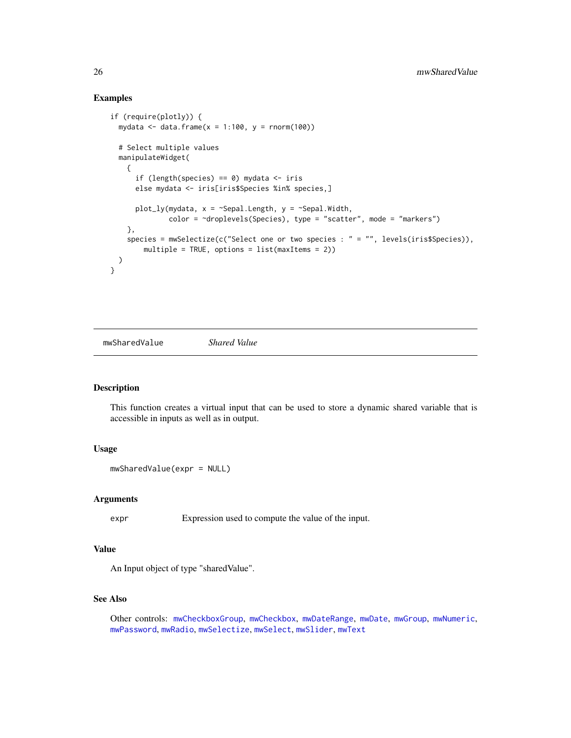## Examples

```
if (require(plotly)) {
 mydata \le data.frame(x = 1:100, y = rnorm(100))
 # Select multiple values
 manipulateWidget(
    {
      if (length(species) == 0) mydata \le iris
      else mydata <- iris[iris$Species %in% species,]
      plot_ly(mydata, x = \text{Sepal.Length}, y = \text{Sepal.Width},
              color = ~droplevels(Species), type = "scatter", mode = "markers")
    },
    species = mwSelectize(c("Select one or two species : " = "", levels(iris$Species)),
        multiple = TRUE, options = list(maxItems = 2))
 )
}
```
<span id="page-25-1"></span>mwSharedValue *Shared Value*

#### Description

This function creates a virtual input that can be used to store a dynamic shared variable that is accessible in inputs as well as in output.

#### Usage

```
mwSharedValue(expr = NULL)
```
#### Arguments

expr Expression used to compute the value of the input.

## Value

An Input object of type "sharedValue".

## See Also

Other controls: [mwCheckboxGroup](#page-13-1), [mwCheckbox](#page-12-1), [mwDateRange](#page-16-1), [mwDate](#page-15-1), [mwGroup](#page-17-1), [mwNumeric](#page-19-1), [mwPassword](#page-20-1), [mwRadio](#page-21-1), [mwSelectize](#page-24-1), [mwSelect](#page-22-1), [mwSlider](#page-26-1), [mwText](#page-27-1)

<span id="page-25-0"></span>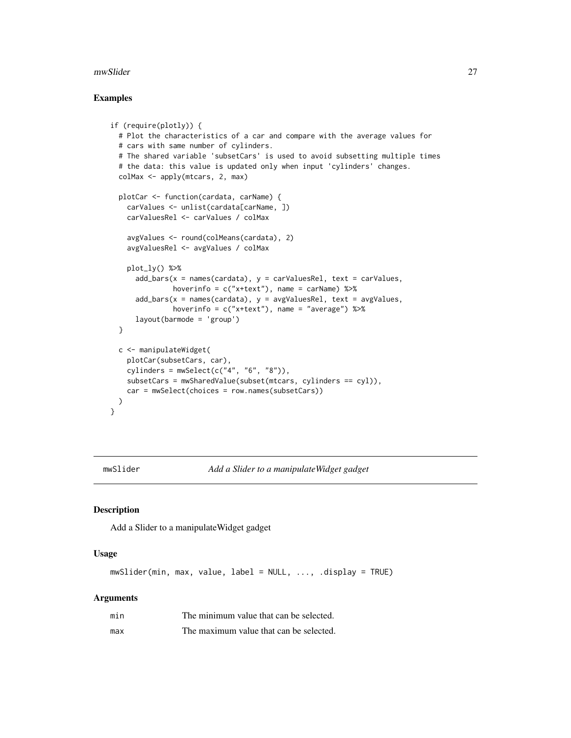#### <span id="page-26-0"></span>mwSlider 27

#### Examples

```
if (require(plotly)) {
 # Plot the characteristics of a car and compare with the average values for
 # cars with same number of cylinders.
 # The shared variable 'subsetCars' is used to avoid subsetting multiple times
 # the data: this value is updated only when input 'cylinders' changes.
 colMax <- apply(mtcars, 2, max)
 plotCar <- function(cardata, carName) {
   carValues <- unlist(cardata[carName, ])
   carValuesRel <- carValues / colMax
    avgValues <- round(colMeans(cardata), 2)
    avgValuesRel <- avgValues / colMax
   plot_ly() %>%
     add\_bars(x = names(cardata), y = carValuesRel, text = carValues,hoverinfo = c("x+text"), name = carName) %>%
      add\_bars(x = names(cardata), y = avgValuesRel, text = avgValues,hoverinfo = c("x+text"), name = "average") %>%
      layout(barmode = 'group')
 }
 c <- manipulateWidget(
   plotCar(subsetCars, car),
   cylinders = mwSelect(c("4", "6", "8")),
   subsetCars = mwSharedValue(subset(mtcars, cylinders == cyl)),
   car = mwSelect(choices = row.names(subsetCars))
 )
}
```
<span id="page-26-1"></span>

mwSlider *Add a Slider to a manipulateWidget gadget*

#### Description

Add a Slider to a manipulateWidget gadget

## Usage

mwSlider(min, max, value, label = NULL, ..., .display = TRUE)

#### Arguments

| min | The minimum value that can be selected. |
|-----|-----------------------------------------|
| max | The maximum value that can be selected. |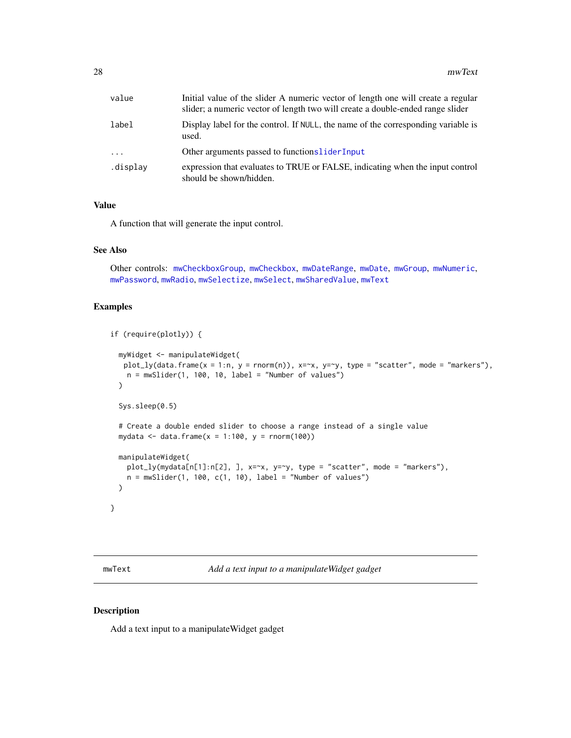<span id="page-27-0"></span>

| value    | Initial value of the slider A numeric vector of length one will create a regular<br>slider; a numeric vector of length two will create a double-ended range slider |
|----------|--------------------------------------------------------------------------------------------------------------------------------------------------------------------|
| label    | Display label for the control. If NULL, the name of the corresponding variable is<br>used.                                                                         |
| $\cdots$ | Other arguments passed to functions lider Input                                                                                                                    |
| .display | expression that evaluates to TRUE or FALSE, indicating when the input control<br>should be shown/hidden.                                                           |

## Value

A function that will generate the input control.

#### See Also

Other controls: [mwCheckboxGroup](#page-13-1), [mwCheckbox](#page-12-1), [mwDateRange](#page-16-1), [mwDate](#page-15-1), [mwGroup](#page-17-1), [mwNumeric](#page-19-1), [mwPassword](#page-20-1), [mwRadio](#page-21-1), [mwSelectize](#page-24-1), [mwSelect](#page-22-1), [mwSharedValue](#page-25-1), [mwText](#page-27-1)

## Examples

```
if (require(plotly)) {
 myWidget <- manipulateWidget(
  plot_{ly(data.frame(x = 1:n, y = norm(n)), x=x, y=y, type = "scatter", mode = "marker"),n = mwSlider(1, 100, 10, label = "Number of values")\lambdaSys.sleep(0.5)
 # Create a double ended slider to choose a range instead of a single value
 mydata \leq data.frame(x = 1:100, y = rnorm(100))
 manipulateWidget(
   plot_ly(mydata[n[1]:n[2], ], x=~x, y=~y, type = "scatter", mode = "markers"),
   n = mwSlider(1, 100, c(1, 10), label = "Number of values"))
}
```
<span id="page-27-1"></span>mwText *Add a text input to a manipulateWidget gadget*

## Description

Add a text input to a manipulateWidget gadget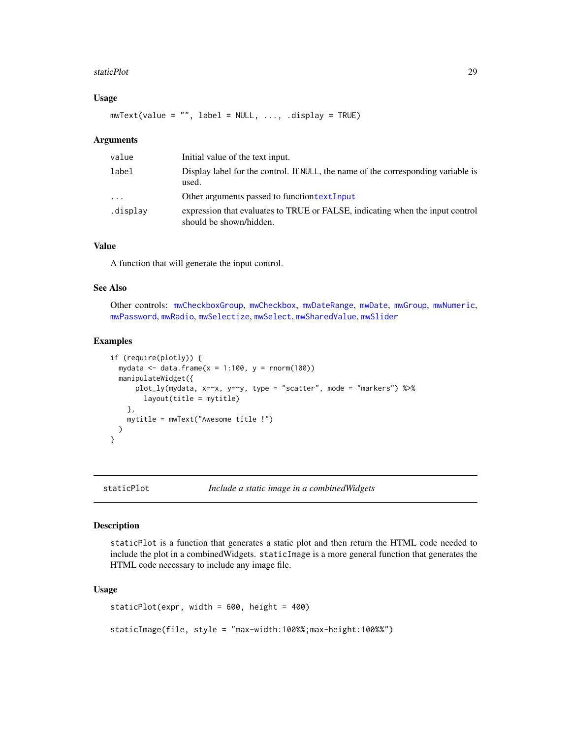#### <span id="page-28-0"></span>staticPlot 29

#### Usage

 $mwText(value = "", label = NULL, ..., display = TRUE)$ 

#### Arguments

| value    | Initial value of the text input.                                                                         |
|----------|----------------------------------------------------------------------------------------------------------|
| label    | Display label for the control. If NULL, the name of the corresponding variable is<br>used.               |
| .        | Other arguments passed to function text Input                                                            |
| .display | expression that evaluates to TRUE or FALSE, indicating when the input control<br>should be shown/hidden. |

## Value

A function that will generate the input control.

### See Also

Other controls: [mwCheckboxGroup](#page-13-1), [mwCheckbox](#page-12-1), [mwDateRange](#page-16-1), [mwDate](#page-15-1), [mwGroup](#page-17-1), [mwNumeric](#page-19-1), [mwPassword](#page-20-1), [mwRadio](#page-21-1), [mwSelectize](#page-24-1), [mwSelect](#page-22-1), [mwSharedValue](#page-25-1), [mwSlider](#page-26-1)

## Examples

```
if (require(plotly)) {
 mydata <- data.frame(x = 1:100, y = rnorm(100))manipulateWidget({
     plot_ly(mydata, x=~x, y=~y, type = "scatter", mode = "markers") %>%
       layout(title = mytitle)
   },
   mytitle = mwText("Awesome title !")
 )
}
```
staticPlot *Include a static image in a combinedWidgets*

#### Description

staticPlot is a function that generates a static plot and then return the HTML code needed to include the plot in a combinedWidgets. staticImage is a more general function that generates the HTML code necessary to include any image file.

#### Usage

staticPlot(expr, width = 600, height = 400)

staticImage(file, style = "max-width:100%%;max-height:100%%")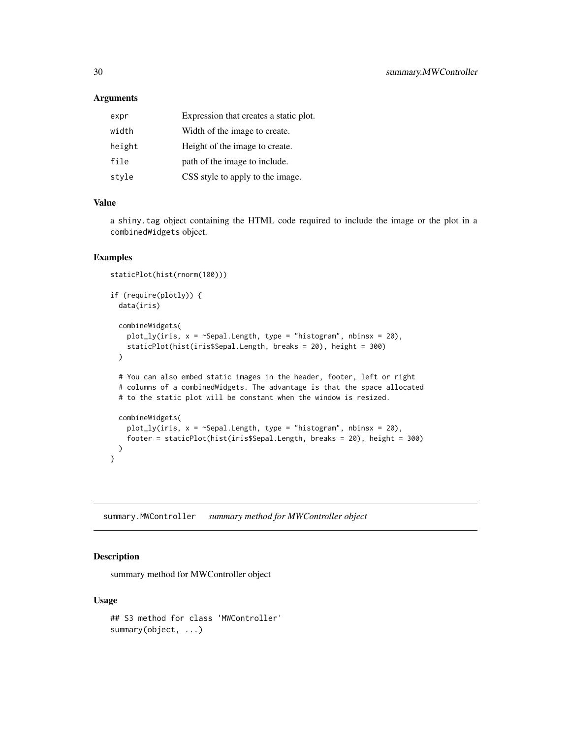#### <span id="page-29-0"></span>Arguments

| expr   | Expression that creates a static plot. |
|--------|----------------------------------------|
| width  | Width of the image to create.          |
| height | Height of the image to create.         |
| file   | path of the image to include.          |
| style  | CSS style to apply to the image.       |

## Value

a shiny.tag object containing the HTML code required to include the image or the plot in a combinedWidgets object.

#### Examples

```
staticPlot(hist(rnorm(100)))
if (require(plotly)) {
 data(iris)
 combineWidgets(
   plot_ly(iris, x = \text{Sepal.Length}, type = "histogram", nbinsx = 20),
   staticPlot(hist(iris$Sepal.Length, breaks = 20), height = 300)
 )
 # You can also embed static images in the header, footer, left or right
 # columns of a combinedWidgets. The advantage is that the space allocated
 # to the static plot will be constant when the window is resized.
 combineWidgets(
   plot_ly(iris, x = \text{``Sepal.Length, type = "histogram", nbinsx = 20)},footer = staticPlot(hist(iris$Sepal.Length, breaks = 20), height = 300)
 )
}
```
summary.MWController *summary method for MWController object*

## Description

summary method for MWController object

#### Usage

```
## S3 method for class 'MWController'
summary(object, ...)
```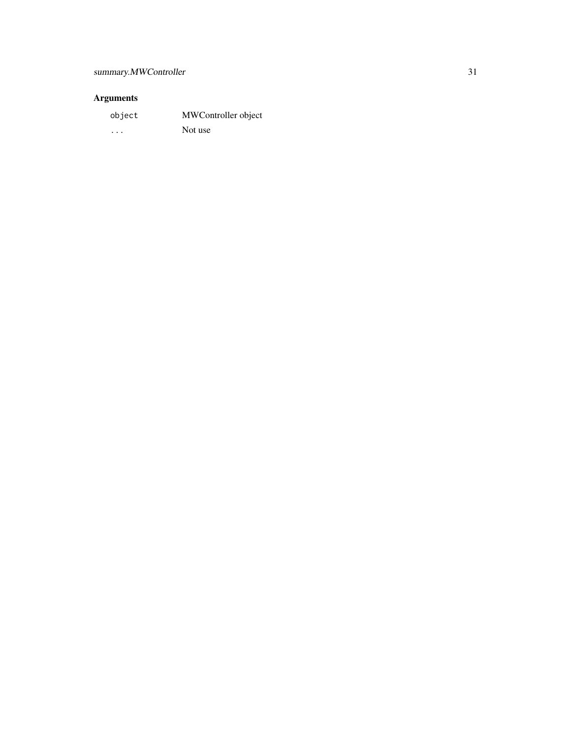# Arguments

| object   | MWController object |
|----------|---------------------|
| $\cdots$ | Not use             |